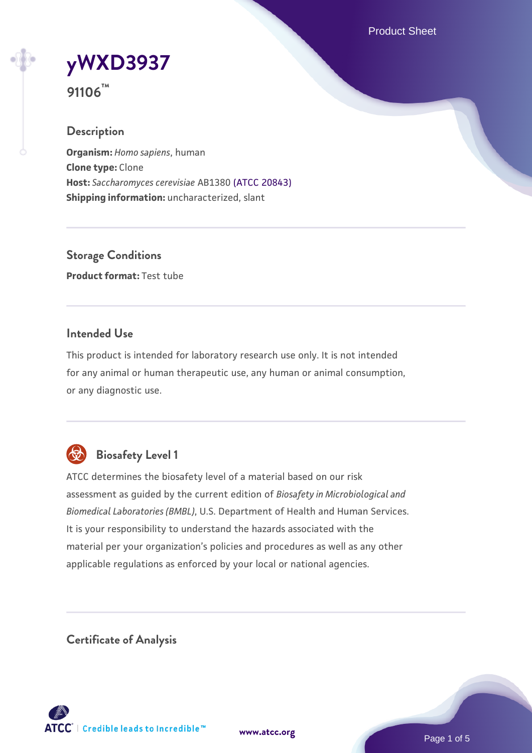Product Sheet



**91106™**

# **Description**

**Organism:** *Homo sapiens*, human **Clone type:** Clone **Host:** *Saccharomyces cerevisiae* AB1380 [\(ATCC 20843\)](https://www.atcc.org/products/20843) **Shipping information:** uncharacterized, slant

**Storage Conditions Product format:** Test tube

## **Intended Use**

This product is intended for laboratory research use only. It is not intended for any animal or human therapeutic use, any human or animal consumption, or any diagnostic use.



# **Biosafety Level 1**

ATCC determines the biosafety level of a material based on our risk assessment as guided by the current edition of *Biosafety in Microbiological and Biomedical Laboratories (BMBL)*, U.S. Department of Health and Human Services. It is your responsibility to understand the hazards associated with the material per your organization's policies and procedures as well as any other applicable regulations as enforced by your local or national agencies.

**Certificate of Analysis**

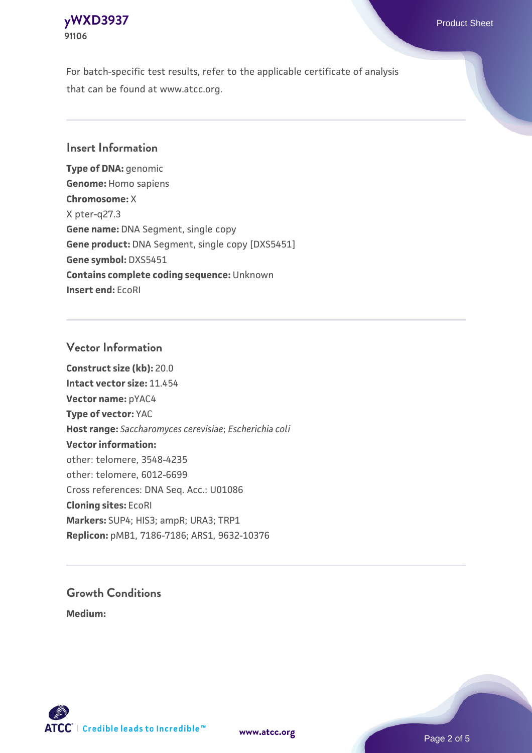## **[yWXD3937](https://www.atcc.org/products/91106)** Product Sheet **91106**

For batch-specific test results, refer to the applicable certificate of analysis that can be found at www.atcc.org.

## **Insert Information**

**Type of DNA:** genomic **Genome:** Homo sapiens **Chromosome:** X X pter-q27.3 **Gene name:** DNA Segment, single copy **Gene product:** DNA Segment, single copy [DXS5451] **Gene symbol:** DXS5451 **Contains complete coding sequence:** Unknown **Insert end:** EcoRI

### **Vector Information**

**Construct size (kb):** 20.0 **Intact vector size:** 11.454 **Vector name:** pYAC4 **Type of vector:** YAC **Host range:** *Saccharomyces cerevisiae*; *Escherichia coli* **Vector information:** other: telomere, 3548-4235 other: telomere, 6012-6699 Cross references: DNA Seq. Acc.: U01086 **Cloning sites:** EcoRI **Markers:** SUP4; HIS3; ampR; URA3; TRP1 **Replicon:** pMB1, 7186-7186; ARS1, 9632-10376

# **Growth Conditions**

**Medium:** 



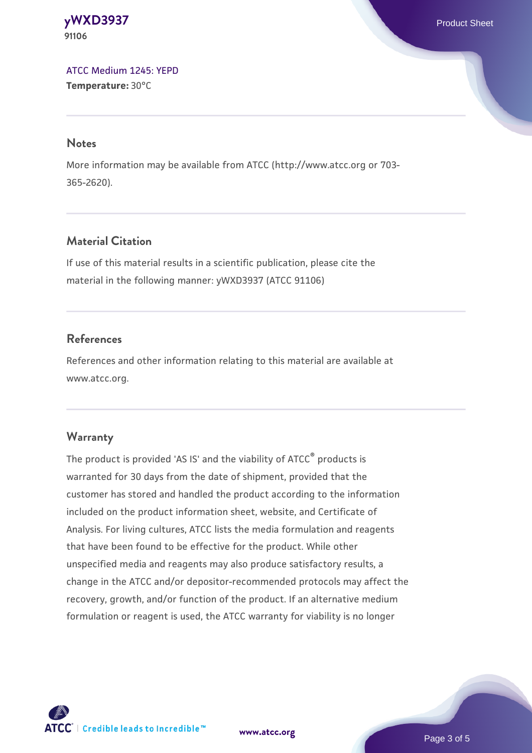**[yWXD3937](https://www.atcc.org/products/91106)** Product Sheet **91106**

[ATCC Medium 1245: YEPD](https://www.atcc.org/-/media/product-assets/documents/microbial-media-formulations/1/2/4/5/atcc-medium-1245.pdf?rev=705ca55d1b6f490a808a965d5c072196) **Temperature:** 30°C

#### **Notes**

More information may be available from ATCC (http://www.atcc.org or 703- 365-2620).

## **Material Citation**

If use of this material results in a scientific publication, please cite the material in the following manner: yWXD3937 (ATCC 91106)

### **References**

References and other information relating to this material are available at www.atcc.org.

#### **Warranty**

The product is provided 'AS IS' and the viability of ATCC® products is warranted for 30 days from the date of shipment, provided that the customer has stored and handled the product according to the information included on the product information sheet, website, and Certificate of Analysis. For living cultures, ATCC lists the media formulation and reagents that have been found to be effective for the product. While other unspecified media and reagents may also produce satisfactory results, a change in the ATCC and/or depositor-recommended protocols may affect the recovery, growth, and/or function of the product. If an alternative medium formulation or reagent is used, the ATCC warranty for viability is no longer

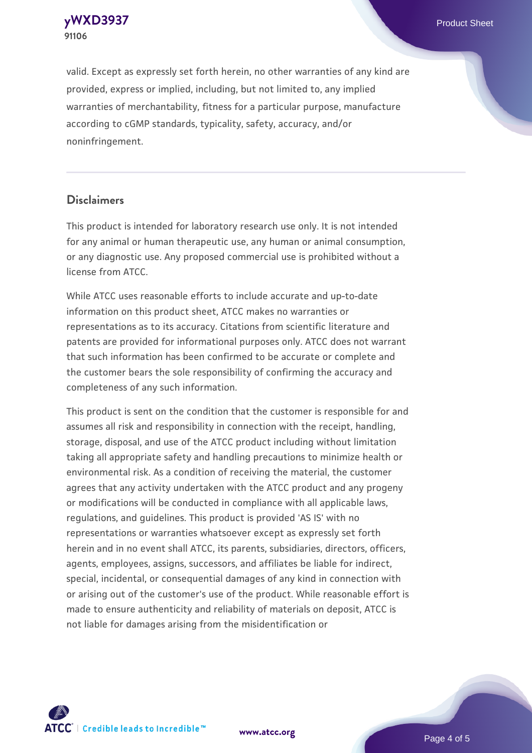**[yWXD3937](https://www.atcc.org/products/91106)** Product Sheet **91106**

valid. Except as expressly set forth herein, no other warranties of any kind are provided, express or implied, including, but not limited to, any implied warranties of merchantability, fitness for a particular purpose, manufacture according to cGMP standards, typicality, safety, accuracy, and/or noninfringement.

#### **Disclaimers**

This product is intended for laboratory research use only. It is not intended for any animal or human therapeutic use, any human or animal consumption, or any diagnostic use. Any proposed commercial use is prohibited without a license from ATCC.

While ATCC uses reasonable efforts to include accurate and up-to-date information on this product sheet, ATCC makes no warranties or representations as to its accuracy. Citations from scientific literature and patents are provided for informational purposes only. ATCC does not warrant that such information has been confirmed to be accurate or complete and the customer bears the sole responsibility of confirming the accuracy and completeness of any such information.

This product is sent on the condition that the customer is responsible for and assumes all risk and responsibility in connection with the receipt, handling, storage, disposal, and use of the ATCC product including without limitation taking all appropriate safety and handling precautions to minimize health or environmental risk. As a condition of receiving the material, the customer agrees that any activity undertaken with the ATCC product and any progeny or modifications will be conducted in compliance with all applicable laws, regulations, and guidelines. This product is provided 'AS IS' with no representations or warranties whatsoever except as expressly set forth herein and in no event shall ATCC, its parents, subsidiaries, directors, officers, agents, employees, assigns, successors, and affiliates be liable for indirect, special, incidental, or consequential damages of any kind in connection with or arising out of the customer's use of the product. While reasonable effort is made to ensure authenticity and reliability of materials on deposit, ATCC is not liable for damages arising from the misidentification or



**[www.atcc.org](http://www.atcc.org)**

Page 4 of 5